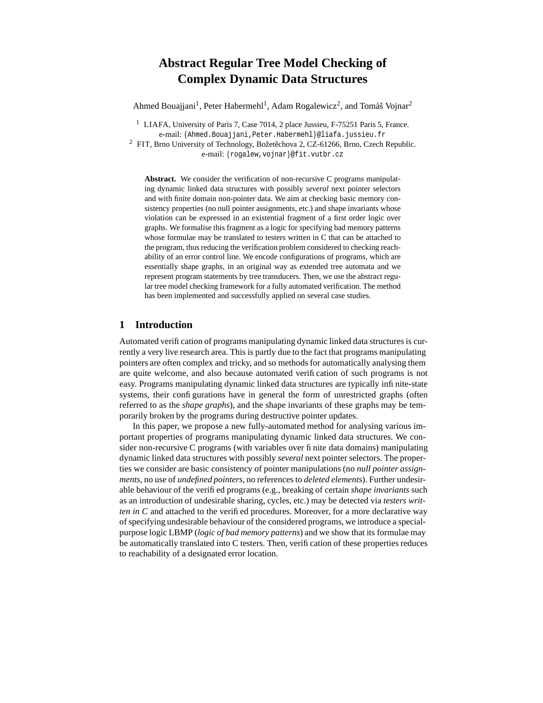# **Abstract Regular Tree Model Checking of Complex Dynamic Data Structures**

Ahmed Bouajjani<sup>1</sup>, Peter Habermehl<sup>1</sup>, Adam Rogalewicz<sup>2</sup>, and Tomáš Vojnar<sup>2</sup>

<sup>1</sup> LIAFA, University of Paris 7, Case 7014, 2 place Jussieu, F-75251 Paris 5, France. e-mail: {Ahmed.Bouajjani,Peter.Habermehl}@liafa.jussieu.fr  $2$  FIT, Brno University of Technology, Božetěchova 2, CZ-61266, Brno, Czech Republic. e-mail: {rogalew,vojnar}@fit.vutbr.cz

Abstract. We consider the verification of non-recursive C programs manipulating dynamic linked data structures with possibly *several* next pointer selectors and with finite domain non-pointer data. We aim at checking basic memory consistency properties (no null pointer assignments, etc.) and shape invariants whose violation can be expressed in an existential fragment of a first order logic over graphs. We formalise this fragment as a logic for specifying bad memory patterns whose formulae may be translated to testers written in C that can be attached to the program, thus reducing the verification problem considered to checking reachability of an error control line. We encode configurations of programs, which are essentially shape graphs, in an original way as extended tree automata and we represent program statements by tree transducers. Then, we use the abstract regular tree model checking framework for a fully automated verification. The method has been implemented and successfully applied on several case studies.

# **1 Introduction**

Automated verification of programs manipulating dynamic linked data structures is currently a very live research area. This is partly due to the fact that programs manipulating pointers are often complex and tricky, and so methods for automatically analysing them are quite welcome, and also because automated verification of such programs is not easy. Programs manipulating dynamic linked data structures are typically infinite-state systems, their configurations have in general the form of unrestricted graphs (often referred to as the *shape graphs*), and the shape invariants of these graphs may be temporarily broken by the programs during destructive pointer updates.

In this paper, we propose a new fully-automated method for analysing various important properties of programs manipulating dynamic linked data structures. We consider non-recursive C programs (with variables over finite data domains) manipulating dynamic linked data structures with possibly *several* next pointer selectors. The properties we consider are basic consistency of pointer manipulations (no *null pointer assignments*, no use of *undefined pointers*, no references to *deleted elements*). Further undesirable behaviour of the verified programs (e.g., breaking of certain *shape invariants* such as an introduction of undesirable sharing, cycles, etc.) may be detected via *testers written in C* and attached to the verified procedures. Moreover, for a more declarative way of specifying undesirable behaviour of the considered programs, we introduce a specialpurpose logic LBMP (*logic of bad memory patterns*) and we show that its formulae may be automatically translated into C testers. Then, verification of these properties reduces to reachability of a designated error location.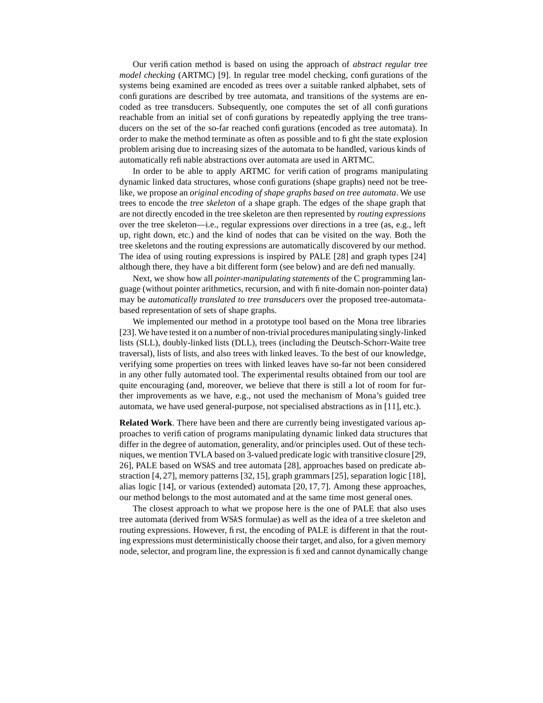Our verification method is based on using the approach of *abstract regular tree model checking* (ARTMC) [9]. In regular tree model checking, configurations of the systems being examined are encoded as trees over a suitable ranked alphabet, sets of configurations are described by tree automata, and transitions of the systems are encoded as tree transducers. Subsequently, one computes the set of all configurations reachable from an initial set of configurations by repeatedly applying the tree transducers on the set of the so-far reached configurations (encoded as tree automata). In order to make the method terminate as often as possible and to fight the state explosion problem arising due to increasing sizes of the automata to be handled, various kinds of automatically refinable abstractions over automata are used in ARTMC.

In order to be able to apply ARTMC for verification of programs manipulating dynamic linked data structures, whose configurations (shape graphs) need not be treelike, we propose an *original encoding of shape graphs based on tree automata*. We use trees to encode the *tree skeleton* of a shape graph. The edges of the shape graph that are not directly encoded in the tree skeleton are then represented by *routing expressions* over the tree skeleton—i.e., regular expressions over directions in a tree (as, e.g., left up, right down, etc.) and the kind of nodes that can be visited on the way. Both the tree skeletons and the routing expressions are automatically discovered by our method. The idea of using routing expressions is inspired by PALE [28] and graph types [24] although there, they have a bit different form (see below) and are defined manually.

Next, we show how all *pointer-manipulating statements* of the C programming language (without pointer arithmetics, recursion, and with finite-domain non-pointer data) may be *automatically translated to tree transducers* over the proposed tree-automatabased representation of sets of shape graphs.

We implemented our method in a prototype tool based on the Mona tree libraries [23]. We have tested it on a number of non-trivial procedures manipulating singly-linked lists (SLL), doubly-linked lists (DLL), trees (including the Deutsch-Schorr-Waite tree traversal), lists of lists, and also trees with linked leaves. To the best of our knowledge, verifying some properties on trees with linked leaves have so-far not been considered in any other fully automated tool. The experimental results obtained from our tool are quite encouraging (and, moreover, we believe that there is still a lot of room for further improvements as we have, e.g., not used the mechanism of Mona's guided tree automata, we have used general-purpose, not specialised abstractions as in [11], etc.).

**Related Work**. There have been and there are currently being investigated various approaches to verification of programs manipulating dynamic linked data structures that differ in the degree of automation, generality, and/or principles used. Out of these techniques, we mention TVLA based on 3-valued predicate logic with transitive closure [29, 26], PALE based on WS*k*S and tree automata [28], approaches based on predicate abstraction [4, 27], memory patterns [32, 15], graph grammars [25], separation logic [18], alias logic [14], or various (extended) automata [20, 17, 7]. Among these approaches, our method belongs to the most automated and at the same time most general ones.

The closest approach to what we propose here is the one of PALE that also uses tree automata (derived from WS*k*S formulae) as well as the idea of a tree skeleton and routing expressions. However, first, the encoding of PALE is different in that the routing expressions must deterministically choose their target, and also, for a given memory node, selector, and program line, the expression is fixed and cannot dynamically change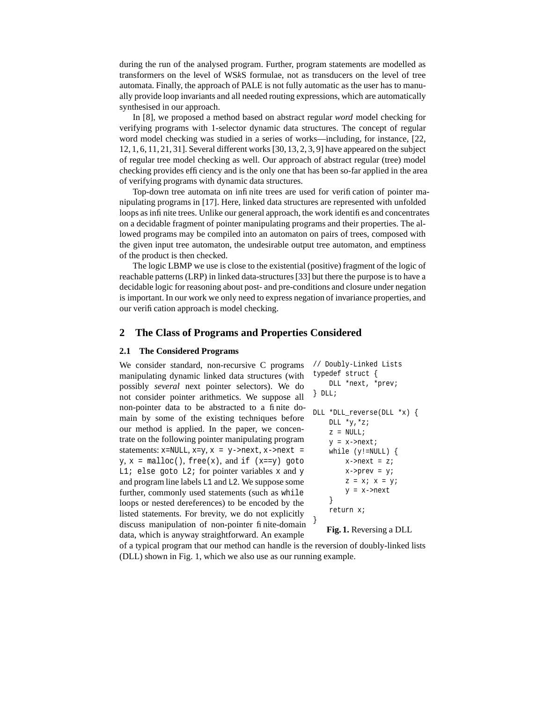during the run of the analysed program. Further, program statements are modelled as transformers on the level of WS*k*S formulae, not as transducers on the level of tree automata. Finally, the approach of PALE is not fully automatic as the user has to manually provide loop invariants and all needed routing expressions, which are automatically synthesised in our approach.

In [8], we proposed a method based on abstract regular *word* model checking for verifying programs with 1-selector dynamic data structures. The concept of regular word model checking was studied in a series of works—including, for instance, [22, 12, 1, 6, 11, 21, 31]. Several different works [30, 13, 2, 3, 9] have appeared on the subject of regular tree model checking as well. Our approach of abstract regular (tree) model checking provides efficiency and is the only one that has been so-far applied in the area of verifying programs with dynamic data structures.

Top-down tree automata on infinite trees are used for verification of pointer manipulating programs in [17]. Here, linked data structures are represented with unfolded loops as infinite trees. Unlike our general approach, the work identifies and concentrates on a decidable fragment of pointer manipulating programs and their properties. The allowed programs may be compiled into an automaton on pairs of trees, composed with the given input tree automaton, the undesirable output tree automaton, and emptiness of the product is then checked.

The logic LBMP we use is close to the existential (positive) fragment of the logic of reachable patterns (LRP) in linked data-structures [33] but there the purpose is to have a decidable logic for reasoning about post- and pre-conditions and closure under negation is important. In our work we only need to express negation of invariance properties, and our verification approach is model checking.

# **2 The Class of Programs and Properties Considered**

#### **2.1 The Considered Programs**

We consider standard, non-recursive C programs manipulating dynamic linked data structures (with possibly *several* next pointer selectors). We do not consider pointer arithmetics. We suppose all non-pointer data to be abstracted to a finite domain by some of the existing techniques before our method is applied. In the paper, we concentrate on the following pointer manipulating program statements:  $x=NULL, x=y, x = y->next, x->next =$  $y, x = \text{malloc}(1), \text{free}(x), \text{and if } (x == y) \text{ goto}$ L1; else goto L2; for pointer variables x and y and program line labels L1 and L2. We suppose some further, commonly used statements (such as while loops or nested dereferences) to be encoded by the listed statements. For brevity, we do not explicitly discuss manipulation of non-pointer finite-domain data, which is anyway straightforward. An example

```
// Doubly-Linked Lists
typedef struct {
   DLL *next, *prev;
 } DLL;
DLL *DLL_reverse(DLL *x) {
   DLL *y,*z;
    z = NULLy = x->next;
    while (y!=NULL) {
        x->next = z;
        x->prev = y;
        z = x_i x = y_iy = x->next
    }
    return x;
}
```
**Fig. 1.** Reversing a DLL

of a typical program that our method can handle is the reversion of doubly-linked lists (DLL) shown in Fig. 1, which we also use as our running example.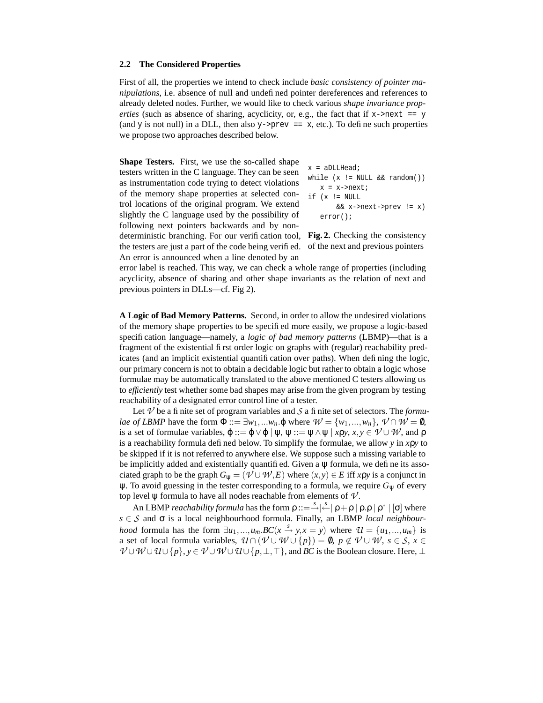#### **2.2 The Considered Properties**

First of all, the properties we intend to check include *basic consistency of pointer manipulations*, i.e. absence of null and undefined pointer dereferences and references to already deleted nodes. Further, we would like to check various *shape invariance properties* (such as absence of sharing, acyclicity, or, e.g., the fact that if  $x$ ->next == y (and y is not null) in a DLL, then also y->prev == x, etc.). To define such properties we propose two approaches described below.

deterministic branching. For our verification tool, Fig. 2. Checking the consistency **Shape Testers.** First, we use the so-called shape testers written in the C language. They can be seen as instrumentation code trying to detect violations of the memory shape properties at selected control locations of the original program. We extend slightly the C language used by the possibility of following next pointers backwards and by nonthe testers are just a part of the code being verified. An error is announced when a line denoted by an



of the next and previous pointers

error label is reached. This way, we can check a whole range of properties (including acyclicity, absence of sharing and other shape invariants as the relation of next and previous pointers in DLLs—cf. Fig 2).

**A Logic of Bad Memory Patterns.** Second, in order to allow the undesired violations of the memory shape properties to be specified more easily, we propose a logic-based specification language—namely, a *logic of bad memory patterns* (LBMP)—that is a fragment of the existential first order logic on graphs with (regular) reachability predicates (and an implicit existential quantification over paths). When defining the logic, our primary concern is not to obtain a decidable logic but rather to obtain a logic whose formulae may be automatically translated to the above mentioned C testers allowing us to *efficiently* test whether some bad shapes may arise from the given program by testing reachability of a designated error control line of a tester.

Let  $\nu$  be a finite set of program variables and  $\mathcal S$  a finite set of selectors. The *formulae of LBMP* have the form  $\Phi ::= \exists w_1, \dots w_n \cdot \phi$  where  $\mathcal{W} = \{w_1, \dots, w_n\}, \mathcal{V} \cap \mathcal{W} = \emptyset$ , is a set of formulae variables,  $\varphi ::= \varphi \lor \varphi \mid \psi, \psi ::= \psi \land \psi \mid x \rho y, x, y \in \mathcal{V} \cup \mathcal{W}$ , and  $\rho$ is a reachability formula defined below. To simplify the formulae, we allow *y* in *x*ρ*y* to be skipped if it is not referred to anywhere else. We suppose such a missing variable to be implicitly added and existentially quantified. Given a ψ formula, we define its associated graph to be the graph  $G_{\psi} = (\mathcal{V} \cup \mathcal{W}, E)$  where  $(x, y) \in E$  iff *x* $\rho y$  is a conjunct in ψ. To avoid guessing in the tester corresponding to a formula, we require *G*<sup>ψ</sup> of every top level  $\psi$  formula to have all nodes reachable from elements of  $\psi$ .

An LBMP *reachability formula* has the form  $\rho ::= \rightarrow |\xleftarrow{s} |\rho + \rho| |\rho, \rho| |\rho^*|$  [σ] where  $s \in S$  and  $\sigma$  is a local neighbourhood formula. Finally, an LBMP *local neighbourhood* formula has the form  $\exists u_1, ..., u_m$ .  $BC(x \stackrel{s}{\rightarrow} y, x = y)$  where  $\mathcal{U} = \{u_1, ..., u_m\}$  is a set of local formula variables,  $\mathcal{U} \cap (\mathcal{V} \cup \mathcal{W} \cup \{p\}) = \emptyset$ ,  $p \notin \mathcal{V} \cup \mathcal{W}$ ,  $s \in \mathcal{S}$ ,  $x \in \mathcal{S}$  $\mathcal{V} \cup \mathcal{W} \cup \mathcal{U} \cup \{p\}, y \in \mathcal{V} \cup \mathcal{W} \cup \mathcal{U} \cup \{p, \perp, \perp\}$ , and *BC* is the Boolean closure. Here, ⊥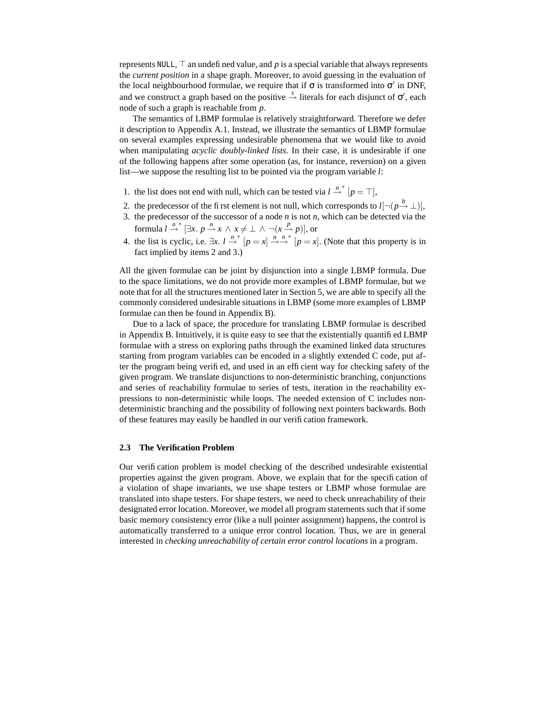represents NULL,  $\top$  an undefined value, and p is a special variable that always represents the *current position* in a shape graph. Moreover, to avoid guessing in the evaluation of the local neighbourhood formulae, we require that if  $\sigma$  is transformed into  $\sigma'$  in DNF, and we construct a graph based on the positive  $\stackrel{s}{\rightarrow}$  literals for each disjunct of  $\sigma'$ , each node of such a graph is reachable from *p*.

The semantics of LBMP formulae is relatively straightforward. Therefore we defer it description to Appendix A.1. Instead, we illustrate the semantics of LBMP formulae on several examples expressing undesirable phenomena that we would like to avoid when manipulating *acyclic doubly-linked lists*. In their case, it is undesirable if one of the following happens after some operation (as, for instance, reversion) on a given list—we suppose the resulting list to be pointed via the program variable *l*:

- 1. the list does not end with null, which can be tested via  $l \stackrel{n}{\rightarrow} [p = \top]$ ,
- 2. the predecessor of the first element is not null, which corresponds to  $l[\neg(p \stackrel{b}{\rightarrow} \bot)],$
- 3. the predecessor of the successor of a node *n* is not *n*, which can be detected via the formula  $l \stackrel{n}{\rightarrow}^* [\exists x. p \stackrel{n}{\rightarrow} x \land x \neq \bot \land \neg(x \stackrel{p}{\rightarrow} p)]$ , or
- 4. the list is cyclic, i.e.  $\exists x. l \stackrel{n}{\rightarrow}^* [p = x] \stackrel{n}{\rightarrow}^* [p = x]$ . (Note that this property is in fact implied by items 2 and 3.)

All the given formulae can be joint by disjunction into a single LBMP formula. Due to the space limitations, we do not provide more examples of LBMP formulae, but we note that for all the structures mentioned later in Section 5, we are able to specify all the commonly considered undesirable situations in LBMP (some more examples of LBMP formulae can then be found in Appendix B).

Due to a lack of space, the procedure for translating LBMP formulae is described in Appendix B. Intuitively, it is quite easy to see that the existentially quantified LBMP formulae with a stress on exploring paths through the examined linked data structures starting from program variables can be encoded in a slightly extended C code, put after the program being verified, and used in an efficient way for checking safety of the given program. We translate disjunctions to non-deterministic branching, conjunctions and series of reachability formulae to series of tests, iteration in the reachability expressions to non-deterministic while loops. The needed extension of C includes nondeterministic branching and the possibility of following next pointers backwards. Both of these features may easily be handled in our verification framework.

#### **2.3 The Verification Problem**

Our verification problem is model checking of the described undesirable existential properties against the given program. Above, we explain that for the specification of a violation of shape invariants, we use shape testers or LBMP whose formulae are translated into shape testers. For shape testers, we need to check unreachability of their designated error location. Moreover, we model all program statements such that if some basic memory consistency error (like a null pointer assignment) happens, the control is automatically transferred to a unique error control location. Thus, we are in general interested in *checking unreachability of certain error control locations* in a program.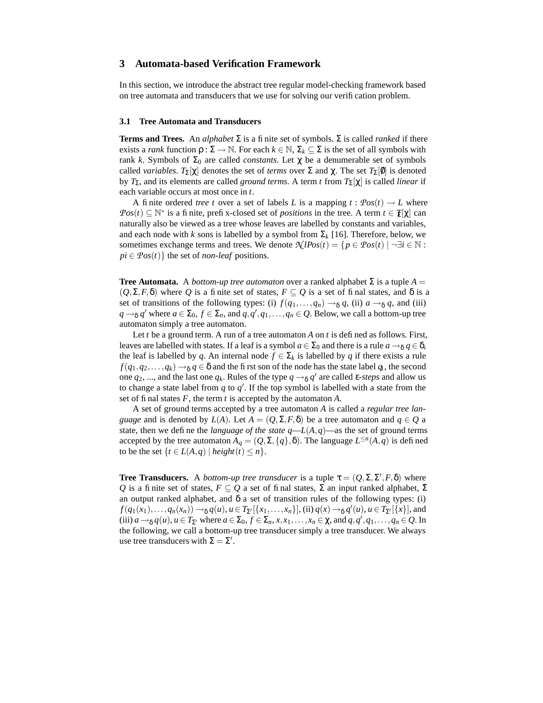# **3 Automata-based Verification Framework**

In this section, we introduce the abstract tree regular model-checking framework based on tree automata and transducers that we use for solving our verification problem.

#### **3.1 Tree Automata and Transducers**

**Terms and Trees.** An *alphabet*  $\Sigma$  is a finite set of symbols.  $\Sigma$  is called *ranked* if there exists a *rank* function  $\rho : \Sigma \to \mathbb{N}$ . For each  $k \in \mathbb{N}$ ,  $\Sigma_k \subseteq \Sigma$  is the set of all symbols with rank *k*. Symbols of  $Σ_0$  are called *constants*. Let  $χ$  be a denumerable set of symbols called *variables*.  $T_{\Sigma}[\chi]$  denotes the set of *terms* over  $\Sigma$  and  $\chi$ . The set  $T_{\Sigma}[0]$  is denoted by *T*Σ, and its elements are called *ground terms*. A term *t* from *T*Σ[χ] is called *linear* if each variable occurs at most once in *t*.

A finite ordered *tree t* over a set of labels *L* is a mapping  $t : Pos(t) \rightarrow L$  where  $Pos(t) \subseteq \mathbb{N}^*$  is a finite, prefix-closed set of *positions* in the tree. A term  $t \in \mathbb{F}[\chi]$  can naturally also be viewed as a tree whose leaves are labelled by constants and variables, and each node with *k* sons is labelled by a symbol from  $\Sigma_k$  [16]. Therefore, below, we sometimes exchange terms and trees. We denote  $\mathcal{N}(Pos(t) = \{p \in Pos(t) \mid \neg \exists i \in \mathbb{N} :$  $pi \in \mathcal{P}os(t)$  the set of *non-leaf* positions.

**Tree Automata.** A *bottom-up tree automaton* over a ranked alphabet  $\Sigma$  is a tuple  $A =$  $(Q, \Sigma, F, \delta)$  where *Q* is a finite set of states,  $F \subseteq Q$  is a set of final states, and  $\delta$  is a set of transitions of the following types: (i)  $f(q_1,...,q_n) \rightarrow_\delta q$ , (ii)  $a \rightarrow_\delta q$ , and (iii)  $q \rightarrow_{\delta} q'$  where  $a \in \Sigma_0$ ,  $f \in \Sigma_n$ , and  $q, q', q_1, \ldots, q_n \in Q$ . Below, we call a bottom-up tree automaton simply a tree automaton.

Let *t* be a ground term. A run of a tree automaton *A* on *t* is defined as follows. First, leaves are labelled with states. If a leaf is a symbol  $a \in \Sigma_0$  and there is a rule  $a \to_{\delta} q \in \delta$ , the leaf is labelled by *q*. An internal node  $f \in \Sigma_k$  is labelled by *q* if there exists a rule  $f(q_1, q_2,..., q_k) \rightarrow_{\delta} q \in \delta$  and the first son of the node has the state label q, the second one  $q_2$ , ..., and the last one  $q_k$ . Rules of the type  $q \rightarrow_{\delta} q'$  are called ε-*steps* and allow us to change a state label from  $q$  to  $q'$ . If the top symbol is labelled with a state from the set of final states *F*, the term *t* is accepted by the automaton *A*.

A set of ground terms accepted by a tree automaton *A* is called a *regular tree language* and is denoted by  $L(A)$ . Let  $A = (Q, \Sigma, F, \delta)$  be a tree automaton and  $q \in Q$  a state, then we define the *language* of the state  $q$ —*L*( $A$ , $q$ )—as the set of ground terms accepted by the tree automaton  $A_q = (Q, \Sigma, \{q\}, \delta)$ . The language  $L^{\leq n}(A, q)$  is defined to be the set  $\{t \in L(A,q) \mid height(t) \leq n\}.$ 

**Tree Transducers.** A *bottom-up tree transducer* is a tuple  $\tau = (Q, \Sigma, \Sigma', F, \delta)$  where  $Q$  is a finite set of states,  $F ⊆ Q$  a set of final states, Σ an input ranked alphabet, Σ an output ranked alphabet, and  $\delta$  a set of transition rules of the following types: (i)  $f(q_1(x_1),...,q_n(x_n)) \to_{\delta} q(u), u \in T_{\Sigma'}[\{x_1,...,x_n\}],$  (ii)  $q(x) \to_{\delta} q'(u), u \in T_{\Sigma'}[\{x\}],$  and  $\alpha \rightarrow \delta q(u), u \in T_{\Sigma'}$  where  $a \in \Sigma_0, f \in \Sigma_n, x, x_1, \ldots, x_n \in \mathcal{X}$ , and  $q, q', q_1, \ldots, q_n \in \mathcal{Q}$ . In the following, we call a bottom-up tree transducer simply a tree transducer. We always use tree transducers with  $\Sigma = \Sigma'$ .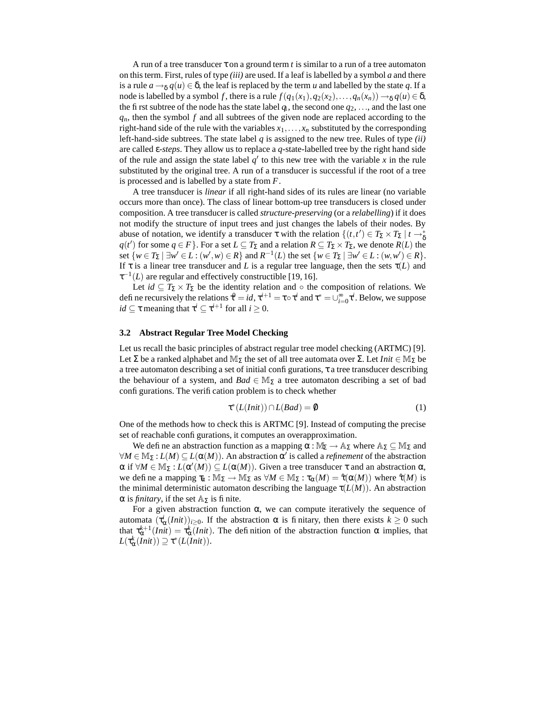A run of a tree transducer  $\tau$  on a ground term t is similar to a run of a tree automaton on this term. First, rules of type *(iii)* are used. If a leaf is labelled by a symbol *a* and there is a rule  $a \rightarrow_{\delta} q(u) \in \delta$ , the leaf is replaced by the term *u* and labelled by the state *q*. If a node is labelled by a symbol *f*, there is a rule  $f(q_1(x_1), q_2(x_2),..., q_n(x_n)) \rightarrow_\delta q(u) \in \delta$ , the first subtree of the node has the state label  $q_1$ , the second one  $q_2$ , ..., and the last one  $q_n$ , then the symbol  $f$  and all subtrees of the given node are replaced according to the right-hand side of the rule with the variables  $x_1, \ldots, x_n$  substituted by the corresponding left-hand-side subtrees. The state label *q* is assigned to the new tree. Rules of type *(ii)* are called ε*-steps*. They allow us to replace a *q*-state-labelled tree by the right hand side of the rule and assign the state label  $q'$  to this new tree with the variable  $x$  in the rule substituted by the original tree. A run of a transducer is successful if the root of a tree is processed and is labelled by a state from *F*.

A tree transducer is *linear* if all right-hand sides of its rules are linear (no variable occurs more than once). The class of linear bottom-up tree transducers is closed under composition. A tree transducer is called *structure-preserving* (or a *relabelling*) if it does not modify the structure of input trees and just changes the labels of their nodes. By abuse of notation, we identify a transducer  $\tau$  with the relation  $\{(t,t') \in T_\Sigma \times T_\Sigma \mid t \to \frac{1}{\delta}$  $q(t')$  for some  $q \in F$ }. For a set  $L \subseteq T_{\Sigma}$  and a relation  $R \subseteq T_{\Sigma} \times T_{\Sigma}$ , we denote  $R(L)$  the set  $\{w \in T_{\Sigma} \mid \exists w' \in L : (w', w) \in R\}$  and  $R^{-1}(L)$  the set  $\{w \in T_{\Sigma} \mid \exists w' \in L : (w, w') \in R\}$ . If  $\tau$  is a linear tree transducer and *L* is a regular tree language, then the sets  $\tau(L)$  and  $\tau^{-1}(L)$  are regular and effectively constructible [19, 16].

Let  $id \subseteq T_{\Sigma} \times T_{\Sigma}$  be the identity relation and  $\circ$  the composition of relations. We define recursively the relations  $\mathbf{t}^0 = id$ ,  $\mathbf{t}^{i+1} = \tau \circ \tau^i$  and  $\tau^* = \cup_{i=0}^{\infty} \tau^i$ . Below, we suppose *id*  $\subseteq$  **t** meaning that  $\tau^i \subseteq \tau^{i+1}$  for all  $i \ge 0$ .

### **3.2 Abstract Regular Tree Model Checking**

Let us recall the basic principles of abstract regular tree model checking (ARTMC) [9]. Let  $\Sigma$  be a ranked alphabet and  $\mathbb{M}_{\Sigma}$  the set of all tree automata over  $\Sigma$ . Let *Init*  $\in \mathbb{M}_{\Sigma}$  be a tree automaton describing a set of initial configurations,  $\tau$  a tree transducer describing the behaviour of a system, and  $Bad \in M_{\Sigma}$  a tree automaton describing a set of bad configurations. The verification problem is to check whether

$$
\tau^*(L(\text{Init})) \cap L(\text{Bad}) = \emptyset \tag{1}
$$

One of the methods how to check this is ARTMC [9]. Instead of computing the precise set of reachable configurations, it computes an overapproximation.

We define an abstraction function as a mapping  $\alpha : \mathbb{M}_{\Sigma} \to \mathbb{A}_{\Sigma}$  where  $\mathbb{A}_{\Sigma} \subseteq \mathbb{M}_{\Sigma}$  and  $\forall M \in \mathbb{M}_{\Sigma} : L(M) \subseteq L(\alpha(M))$ . An abstraction  $\alpha'$  is called a *refinement* of the abstraction  $\alpha$  if  $\forall M \in \mathbb{M}_{\Sigma} : L(\alpha'(M)) \subseteq L(\alpha(M))$ . Given a tree transducer  $\tau$  and an abstraction  $\alpha$ , we define a mapping  $\tau_{\alpha}: M_{\Sigma} \to M_{\Sigma}$  as  $\forall M \in M_{\Sigma}: \tau_{\alpha}(M) = \hat{\tau}(\alpha(M))$  where  $\hat{\tau}(M)$  is the minimal deterministic automaton describing the language  $\tau(L(M))$ . An abstraction  $\alpha$  is *finitary*, if the set  $\mathbb{A}_{\Sigma}$  is finite.

For a given abstraction function  $\alpha$ , we can compute iteratively the sequence of automata  $(\tau^i_{\alpha}(Init))_{i\geq 0}$ . If the abstraction  $\alpha$  is finitary, then there exists  $k \geq 0$  such that  $\tau_{\alpha}^{k+1}(Init) = \tau_{\alpha}^{k}(Init)$ . The definition of the abstraction function  $\alpha$  implies, that  $L(\tau^k_\alpha(\textit{Init})) \supseteq \tau^*(L(\textit{Init})).$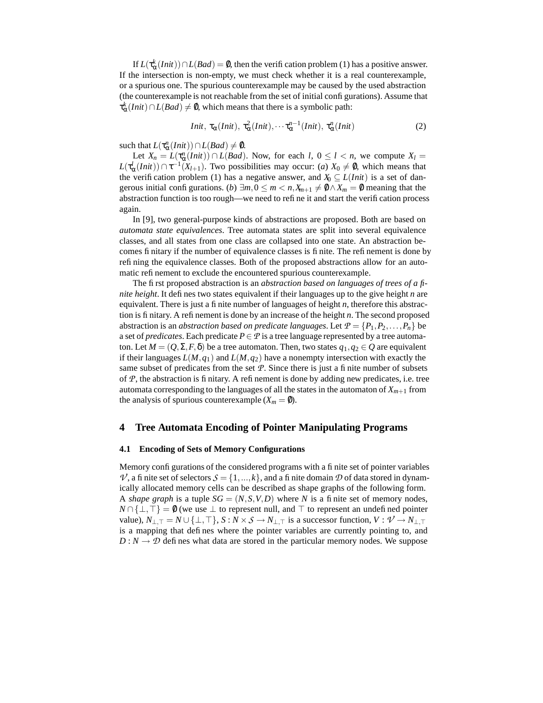If  $L(\tau_\alpha^k(Init)) \cap L(Bad) = \emptyset$ , then the verification problem (1) has a positive answer. If the intersection is non-empty, we must check whether it is a real counterexample, or a spurious one. The spurious counterexample may be caused by the used abstraction (the counterexample is not reachable from the set of initial configurations). Assume that  $\tau^k_\alpha(\text{Init}) \cap L(\text{Bad}) \neq \emptyset$ , which means that there is a symbolic path:

$$
Init, \tau_{\alpha}(Init), \tau_{\alpha}^{2}(Init), \cdots \tau_{\alpha}^{n-1}(Init), \tau_{\alpha}^{n}(Init)
$$
\n(2)

such that  $L(\tau^n_{\alpha}(Init)) \cap L(Bad) \neq \emptyset$ .

Let  $X_n = L(\tau^n_{\alpha}(Init)) \cap L(Bad)$ . Now, for each *l*,  $0 \le l < n$ , we compute  $X_l =$  $L(\tau^l_{\alpha}(Init)) \cap \tau^{-1}(X_{l+1})$ . Two possibilities may occur: (*a*)  $X_0 \neq \emptyset$ , which means that the verification problem (1) has a negative answer, and  $X_0 \subseteq L(\text{Init})$  is a set of dangerous initial configurations. (*b*)  $\exists m, 0 \le m < n, X_{m+1} \ne 0 \land X_m = 0$  meaning that the abstraction function is too rough—we need to refine it and start the verification process again.

In [9], two general-purpose kinds of abstractions are proposed. Both are based on *automata state equivalences*. Tree automata states are split into several equivalence classes, and all states from one class are collapsed into one state. An abstraction becomes finitary if the number of equivalence classes is finite. The refinement is done by refining the equivalence classes. Both of the proposed abstractions allow for an automatic refinement to exclude the encountered spurious counterexample.

The first proposed abstraction is an *abstraction based on languages of trees of a finite height*. It defines two states equivalent if their languages up to the give height *n* are equivalent. There is just a finite number of languages of height *n*, therefore this abstraction is finitary. A refinement is done by an increase of the height *n*. The second proposed abstraction is an *abstraction based on predicate languages*. Let  $P = \{P_1, P_2, \ldots, P_n\}$  be a set of *predicates*. Each predicate  $P \in \mathcal{P}$  is a tree language represented by a tree automaton. Let  $M = (Q, \Sigma, F, \delta)$  be a tree automaton. Then, two states  $q_1, q_2 \in Q$  are equivalent if their languages  $L(M,q_1)$  and  $L(M,q_2)$  have a nonempty intersection with exactly the same subset of predicates from the set  $P$ . Since there is just a finite number of subsets of  $P$ , the abstraction is finitary. A refinement is done by adding new predicates, i.e. tree automata corresponding to the languages of all the states in the automaton of  $X_{m+1}$  from the analysis of spurious counterexample  $(X_m = 0)$ .

## **4 Tree Automata Encoding of Pointer Manipulating Programs**

#### **4.1 Encoding of Sets of Memory Configurations**

Memory configurations of the considered programs with a finite set of pointer variables  $V$ , a finite set of selectors  $S = \{1, ..., k\}$ , and a finite domain D of data stored in dynamically allocated memory cells can be described as shape graphs of the following form. A *shape graph* is a tuple  $SG = (N, S, V, D)$  where N is a finite set of memory nodes,  $N \cap {\{\perp, \top\}} = \emptyset$  (we use  $\perp$  to represent null, and  $\top$  to represent an undefined pointer value),  $N_{\perp,\perp} = N \cup \{\perp,\perp\}, S : N \times S \to N_{\perp,\perp}$  is a successor function,  $V : \mathcal{V} \to N_{\perp,\perp}$ is a mapping that defines where the pointer variables are currently pointing to, and  $D: N \to \mathcal{D}$  defines what data are stored in the particular memory nodes. We suppose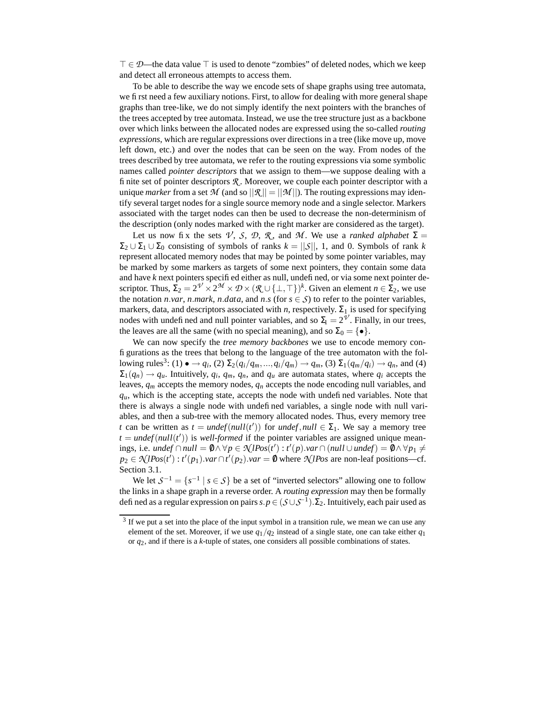$\top \in \mathcal{D}$ —the data value  $\top$  is used to denote "zombies" of deleted nodes, which we keep and detect all erroneous attempts to access them.

To be able to describe the way we encode sets of shape graphs using tree automata, we first need a few auxiliary notions. First, to allow for dealing with more general shape graphs than tree-like, we do not simply identify the next pointers with the branches of the trees accepted by tree automata. Instead, we use the tree structure just as a backbone over which links between the allocated nodes are expressed using the so-called *routing expressions*, which are regular expressions over directions in a tree (like move up, move left down, etc.) and over the nodes that can be seen on the way. From nodes of the trees described by tree automata, we refer to the routing expressions via some symbolic names called *pointer descriptors* that we assign to them—we suppose dealing with a finite set of pointer descriptors *R* . Moreover, we couple each pointer descriptor with a unique *marker* from a set  $\mathcal{M}$  (and so  $||\mathcal{R}|| = ||\mathcal{M}||$ ). The routing expressions may identify several target nodes for a single source memory node and a single selector. Markers associated with the target nodes can then be used to decrease the non-determinism of the description (only nodes marked with the right marker are considered as the target).

Let us now fix the sets  $\mathcal{V}$ , *S*, *D*, *R*, and *M*. We use a *ranked alphabet*  $\Sigma$  =  $\Sigma_2 \cup \Sigma_1 \cup \Sigma_0$  consisting of symbols of ranks  $k = ||\mathcal{S}||$ , 1, and 0. Symbols of rank k represent allocated memory nodes that may be pointed by some pointer variables, may be marked by some markers as targets of some next pointers, they contain some data and have *k* next pointers specified either as null, undefined, or via some next pointer descriptor. Thus,  $\Sigma_2 = 2^{\mathcal{V}} \times 2^{\mathcal{M}} \times \mathcal{D} \times (\mathcal{R} \cup \{\perp, \top\})^k$ . Given an element  $n \in \Sigma_2$ , we use the notation *n*.*var*, *n*.*mark*, *n.data*, and *n.s* (for  $s \in S$ ) to refer to the pointer variables, markers, data, and descriptors associated with *n*, respectively.  $\Sigma_1$  is used for specifying nodes with undefined and null pointer variables, and so  $\Sigma_1 = 2^{\mathcal{V}}$ . Finally, in our trees, the leaves are all the same (with no special meaning), and so  $\Sigma_0 = \{ \bullet \}.$ 

We can now specify the *tree memory backbones* we use to encode memory configurations as the trees that belong to the language of the tree automaton with the following rules<sup>3</sup>: (1)  $\bullet \rightarrow q_i$ , (2)  $\Sigma_2(q_i/q_m,...,q_i/q_m) \rightarrow q_m$ , (3)  $\Sigma_1(q_m/q_i) \rightarrow q_n$ , and (4)  $\Sigma_1(q_n) \to q_u$ . Intuitively,  $q_i$ ,  $q_m$ ,  $q_n$ , and  $q_u$  are automata states, where  $q_i$  accepts the leaves, *q<sup>m</sup>* accepts the memory nodes, *q<sup>n</sup>* accepts the node encoding null variables, and  $q<sub>u</sub>$ , which is the accepting state, accepts the node with undefined variables. Note that there is always a single node with undefined variables, a single node with null variables, and then a sub-tree with the memory allocated nodes. Thus, every memory tree *t* can be written as  $t = \text{under}(\text{null}(t'))$  for *undef*, *null*  $\in \Sigma_1$ . We say a memory tree  $t =$  *undef*( $null(t')$ ) is *well-formed* if the pointer variables are assigned unique mean- $\text{ings, i.e. } under \cap null = 0 \land \forall p \in \mathcal{R}(Pos(t'): t'(p).var \cap (null \cup under) = 0 \land \forall p_1 \neq 0$  $p_2 \in \mathcal{N}(Pos(t'): t'(p_1).var \cap t'(p_2).var = \emptyset$  where  $\mathcal{N}(Pos$  are non-leaf positions—cf. Section 3.1.

We let  $S^{-1} = \{s^{-1} | s \in S\}$  be a set of "inverted selectors" allowing one to follow the links in a shape graph in a reverse order. A *routing expression* may then be formally defined as a regular expression on pairs  $s.p \in (\mathcal{S} \cup \mathcal{S}^{-1})$ . $\Sigma_2$ . Intuitively, each pair used as

 $3$  If we put a set into the place of the input symbol in a transition rule, we mean we can use any element of the set. Moreover, if we use  $q_1/q_2$  instead of a single state, one can take either  $q_1$ or *q*2, and if there is a *k*-tuple of states, one considers all possible combinations of states.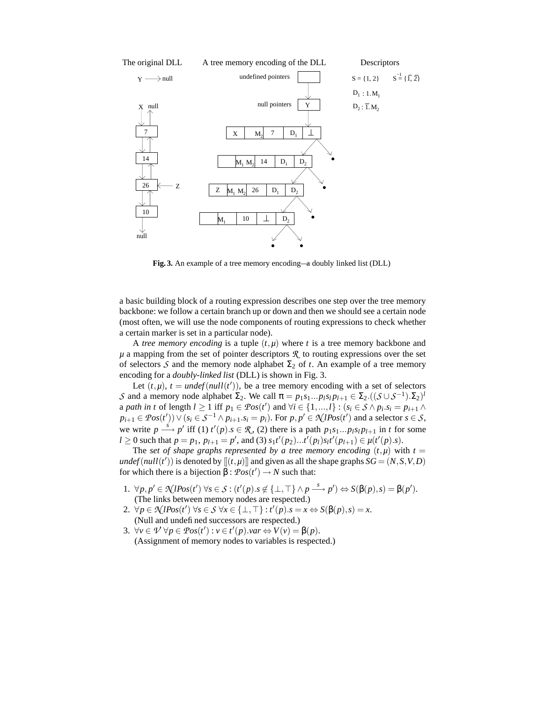

**Fig. 3.** An example of a tree memory encoding—a doubly linked list (DLL)

a basic building block of a routing expression describes one step over the tree memory backbone: we follow a certain branch up or down and then we should see a certain node (most often, we will use the node components of routing expressions to check whether a certain marker is set in a particular node).

A *tree memory encoding* is a tuple  $(t, \mu)$  where *t* is a tree memory backbone and  $\mu$  a mapping from the set of pointer descriptors  $\mathcal{R}$  to routing expressions over the set of selectors *S* and the memory node alphabet  $\Sigma_2$  of *t*. An example of a tree memory encoding for a *doubly-linked list* (DLL) is shown in Fig. 3.

Let  $(t, \mu)$ ,  $t = \text{undefined}( \text{null}(t'))$ , be a tree memory encoding with a set of selectors *S* and a memory node alphabet  $\Sigma_2$ . We call  $\pi = p_1 s_1 ... p_l s_l p_{l+1} \in \Sigma_2 \cdot ((S \cup S^{-1}) \cdot \Sigma_2)^l$ a path in t of length  $l \ge 1$  iff  $p_1 \in \mathcal{P}os(t')$  and  $\forall i \in \{1,...,l\} : (s_i \in \mathcal{S} \land p_i.s_i = p_{i+1} \land p_i \in \mathcal{S} \land p_i \in \mathcal{S} \land p_i \in \mathcal{S} \land p_i \in \mathcal{S} \land p_i \in \mathcal{S} \land p_i \in \mathcal{S} \land p_i \in \mathcal{S} \land p_i \in \mathcal{S} \land p_i \in \mathcal{S} \land p_i \in \mathcal{S} \land p_i \in \$  $p_{i+1} \in \mathcal{P}os(t')$ )  $\lor$   $(s_i \in S^{-1} \land p_{i+1}.s_i = p_i)$ . For  $p, p' \in \mathcal{R}(Pos(t')$  and a selector  $s \in S$ , we write  $p \stackrel{s}{\longrightarrow} p'$  iff (1)  $t'(p)$ .  $s \in \mathcal{R}$ , (2) there is a path  $p_1s_1...p_ls_lp_{l+1}$  in *t* for some  $l \ge 0$  such that  $p = p_1$ ,  $p_{l+1} = p'$ , and (3)  $s_1 t'(p_2)...t'(p_l)s_l t'(p_{l+1}) \in \mu(t'(p).s)$ .

The *set of shape graphs represented by a tree memory encoding*  $(t, \mu)$  with  $t =$ *undef*( $null(t')$ ) is denoted by [[( $t, \mu$ )]] and given as all the shape graphs  $SG = (N, S, V, D)$ for which there is a bijection  $β : Pos(t') \rightarrow N$  such that:

- $1. \ \forall p, p' \in \mathcal{R}(Pos(t') \ \forall s \in \mathcal{S} : (t'(p).s \notin \{\bot, \top\} \land p \stackrel{s}{\longrightarrow} p') \Leftrightarrow S(\beta(p).s) = \beta(p').$ (The links between memory nodes are respected.)
- 2.  $\forall p \in \mathcal{R} \cup \mathit{Pos}(t') \ \forall s \in \mathcal{S} \ \forall x \in \{\bot, \top\} : t'(p).s = x \Leftrightarrow S(\beta(p), s) = x.$ (Null and undefined successors are respected.)
- 3.  $\forall v \in \mathcal{V} \ \forall p \in \mathcal{P}os(t') : v \in t'(p).var \Leftrightarrow V(v) = \beta(p).$ (Assignment of memory nodes to variables is respected.)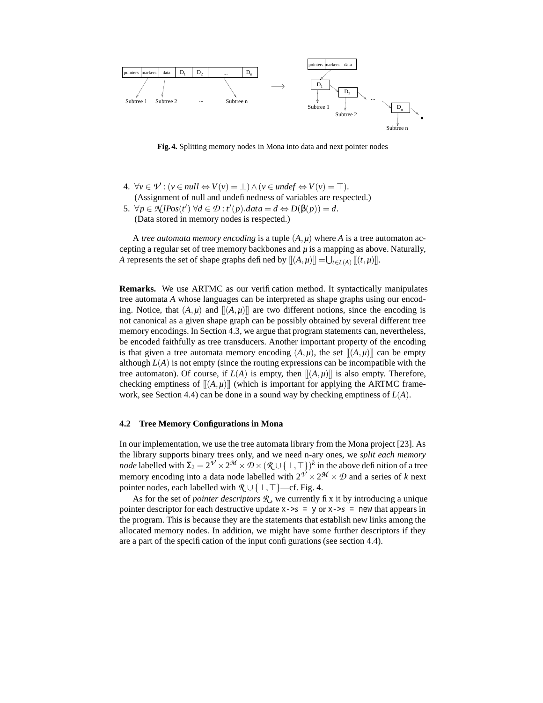

**Fig. 4.** Splitting memory nodes in Mona into data and next pointer nodes

- 4.  $\forall v \in \mathcal{V} : (v \in null \Leftrightarrow V(v) = \bot) \land (v \in under \Leftrightarrow V(v) = \top).$ (Assignment of null and undefinedness of variables are respected.)
- 5.  $\forall p \in \mathcal{R}(Pos(t') \ \forall d \in \mathcal{D}: t'(p).data = d \Leftrightarrow D(\beta(p)) = d.$ (Data stored in memory nodes is respected.)

A *tree automata memory encoding* is a tuple  $(A, \mu)$  where A is a tree automaton accepting a regular set of tree memory backbones and  $\mu$  is a mapping as above. Naturally, *A* represents the set of shape graphs defined by  $\llbracket (A, \mu) \rrbracket = \bigcup_{t \in L(A)} \llbracket (t, \mu) \rrbracket.$ 

**Remarks.** We use ARTMC as our verification method. It syntactically manipulates tree automata *A* whose languages can be interpreted as shape graphs using our encoding. Notice, that  $(A, \mu)$  and  $[(A, \mu)]$  are two different notions, since the encoding is not canonical as a given shape graph can be possibly obtained by several different tree memory encodings. In Section 4.3, we argue that program statements can, nevertheless, be encoded faithfully as tree transducers. Another important property of the encoding is that given a tree automata memory encoding  $(A, \mu)$ , the set  $[[A, \mu)]]$  can be empty although  $L(A)$  is not empty (since the routing expressions can be incompatible with the tree automaton). Of course, if  $L(A)$  is empty, then  $\|(A,\mu)\|$  is also empty. Therefore, checking emptiness of  $[(A,\mu)]$  (which is important for applying the ARTMC framework, see Section 4.4) can be done in a sound way by checking emptiness of *L*(*A*).

#### **4.2 Tree Memory Configurations in Mona**

In our implementation, we use the tree automata library from the Mona project [23]. As the library supports binary trees only, and we need n-ary ones, we *split each memory node* labelled with  $\Sigma_2 = 2^\mathcal{V} \times 2^\mathcal{M} \times \mathcal{D} \times (\mathcal{R} \cup \{\bot,\top\})^k$  in the above definition of a tree memory encoding into a data node labelled with  $2^{\mathcal{V}} \times 2^{\mathcal{M}} \times \mathcal{D}$  and a series of *k* next pointer nodes, each labelled with  $\mathcal{R} \cup \{\perp, \top\}$ —cf. Fig. 4.

As for the set of *pointer descriptors R* , we currently fix it by introducing a unique pointer descriptor for each destructive update  $x \rightarrow s = y$  or  $x \rightarrow s =$  new that appears in the program. This is because they are the statements that establish new links among the allocated memory nodes. In addition, we might have some further descriptors if they are a part of the specification of the input configurations (see section 4.4).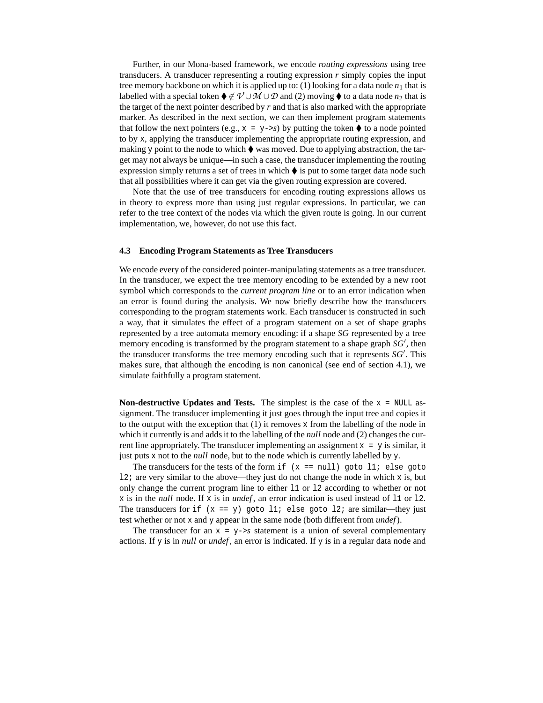Further, in our Mona-based framework, we encode *routing expressions* using tree transducers. A transducer representing a routing expression *r* simply copies the input tree memory backbone on which it is applied up to: (1) looking for a data node  $n_1$  that is labelled with a special token  $\blacklozenge \notin \mathcal{V} \cup \mathcal{M} \cup \mathcal{D}$  and (2) moving  $\blacklozenge$  to a data node  $n_2$  that is the target of the next pointer described by *r* and that is also marked with the appropriate marker. As described in the next section, we can then implement program statements that follow the next pointers (e.g.,  $x = y - \infty$ ) by putting the token  $\blacklozenge$  to a node pointed to by x, applying the transducer implementing the appropriate routing expression, and making y point to the node to which  $\blacklozenge$  was moved. Due to applying abstraction, the target may not always be unique—in such a case, the transducer implementing the routing expression simply returns a set of trees in which  $\blacklozenge$  is put to some target data node such that all possibilities where it can get via the given routing expression are covered.

Note that the use of tree transducers for encoding routing expressions allows us in theory to express more than using just regular expressions. In particular, we can refer to the tree context of the nodes via which the given route is going. In our current implementation, we, however, do not use this fact.

#### **4.3 Encoding Program Statements as Tree Transducers**

We encode every of the considered pointer-manipulating statements as a tree transducer. In the transducer, we expect the tree memory encoding to be extended by a new root symbol which corresponds to the *current program line* or to an error indication when an error is found during the analysis. We now briefly describe how the transducers corresponding to the program statements work. Each transducer is constructed in such a way, that it simulates the effect of a program statement on a set of shape graphs represented by a tree automata memory encoding: if a shape *SG* represented by a tree memory encoding is transformed by the program statement to a shape graph  $SG'$ , then the transducer transforms the tree memory encoding such that it represents SG<sup>'</sup>. This makes sure, that although the encoding is non canonical (see end of section 4.1), we simulate faithfully a program statement.

**Non-destructive Updates and Tests.** The simplest is the case of the  $x = NULL$  assignment. The transducer implementing it just goes through the input tree and copies it to the output with the exception that  $(1)$  it removes x from the labelling of the node in which it currently is and adds it to the labelling of the *null* node and (2) changes the current line appropriately. The transducer implementing an assignment  $x = y$  is similar, it just puts x not to the *null* node, but to the node which is currently labelled by y.

The transducers for the tests of the form if  $(x == null)$  goto ll; else goto 12; are very similar to the above—they just do not change the node in which  $x$  is, but only change the current program line to either l1 or l2 according to whether or not x is in the *null* node. If x is in *undef*, an error indication is used instead of l1 or l2. The transducers for if  $(x == y)$  goto 11; else goto 12; are similar—they just test whether or not x and y appear in the same node (both different from *undef*).

The transducer for an  $x = y \rightarrow s$  statement is a union of several complementary actions. If y is in *null* or *undef*, an error is indicated. If y is in a regular data node and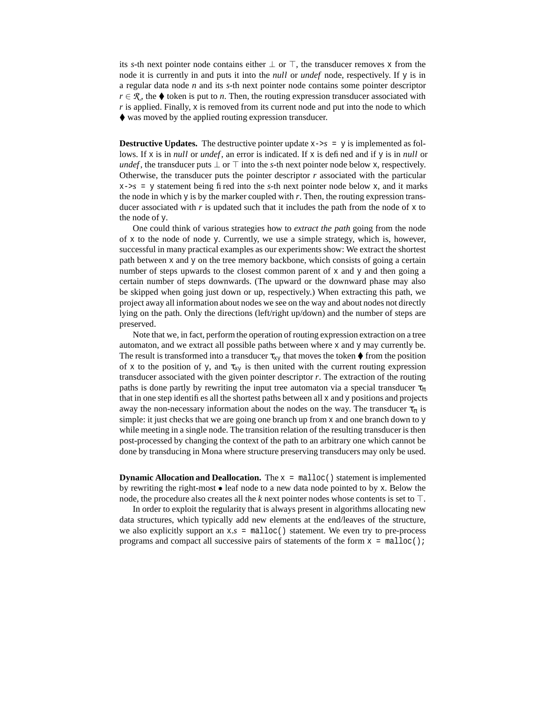its *s*-th next pointer node contains either  $\perp$  or  $\top$ , the transducer removes x from the node it is currently in and puts it into the *null* or *undef* node, respectively. If y is in a regular data node *n* and its *s*-th next pointer node contains some pointer descriptor  $r \in \mathcal{R}$ , the  $\blacklozenge$  token is put to *n*. Then, the routing expression transducer associated with  $r$  is applied. Finally,  $x$  is removed from its current node and put into the node to which was moved by the applied routing expression transducer.

**Destructive Updates.** The destructive pointer update  $x \rightarrow s = y$  is implemented as follows. If x is in *null* or *undef*, an error is indicated. If x is defined and if y is in *null* or *undef*, the transducer puts  $\perp$  or  $\top$  into the *s*-th next pointer node below x, respectively. Otherwise, the transducer puts the pointer descriptor *r* associated with the particular x->*s* = y statement being fired into the *s*-th next pointer node below x, and it marks the node in which y is by the marker coupled with *r*. Then, the routing expression transducer associated with  $r$  is updated such that it includes the path from the node of  $x$  to the node of y.

One could think of various strategies how to *extract the path* going from the node of x to the node of node y. Currently, we use a simple strategy, which is, however, successful in many practical examples as our experiments show: We extract the shortest path between x and y on the tree memory backbone, which consists of going a certain number of steps upwards to the closest common parent of x and y and then going a certain number of steps downwards. (The upward or the downward phase may also be skipped when going just down or up, respectively.) When extracting this path, we project away all information about nodes we see on the way and about nodes not directly lying on the path. Only the directions (left/right up/down) and the number of steps are preserved.

Note that we, in fact, perform the operation of routing expression extraction on a tree automaton, and we extract all possible paths between where x and y may currently be. The result is transformed into a transducer  $\tau_{xy}$  that moves the token  $\blacklozenge$  from the position of x to the position of y, and  $\tau_{xy}$  is then united with the current routing expression transducer associated with the given pointer descriptor *r*. The extraction of the routing paths is done partly by rewriting the input tree automaton via a special transducer  $\tau_{\pi}$ that in one step identifies all the shortest paths between all x and y positions and projects away the non-necessary information about the nodes on the way. The transducer  $\tau_{\pi}$  is simple: it just checks that we are going one branch up from x and one branch down to y while meeting in a single node. The transition relation of the resulting transducer is then post-processed by changing the context of the path to an arbitrary one which cannot be done by transducing in Mona where structure preserving transducers may only be used.

**Dynamic Allocation and Deallocation.** The x = malloc() statement is implemented by rewriting the right-most • leaf node to a new data node pointed to by x. Below the node, the procedure also creates all the  $k$  next pointer nodes whose contents is set to  $\top$ .

In order to exploit the regularity that is always present in algorithms allocating new data structures, which typically add new elements at the end/leaves of the structure, we also explicitly support an  $x.s =$  malloc() statement. We even try to pre-process programs and compact all successive pairs of statements of the form  $x = \text{malloc}($  ;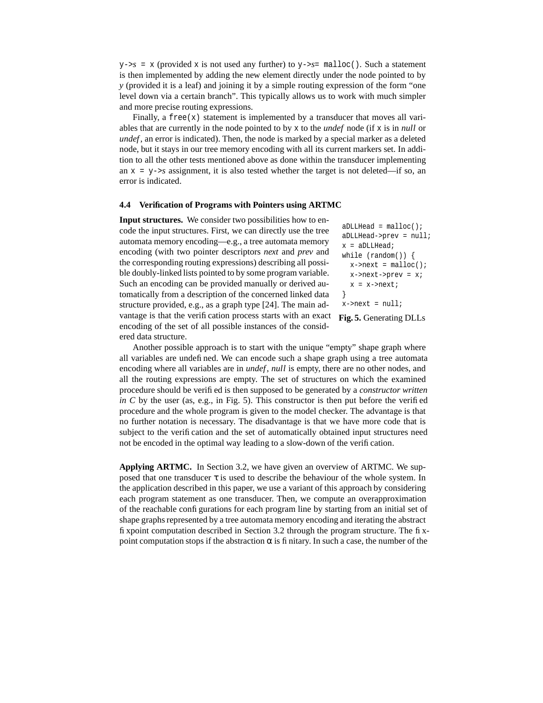$y \rightarrow s$  = x (provided x is not used any further) to  $y \rightarrow s$  = malloc(). Such a statement is then implemented by adding the new element directly under the node pointed to by *y* (provided it is a leaf) and joining it by a simple routing expression of the form "one level down via a certain branch". This typically allows us to work with much simpler and more precise routing expressions.

Finally, a free $(x)$  statement is implemented by a transducer that moves all variables that are currently in the node pointed to by x to the *undef* node (if x is in *null* or *undef*, an error is indicated). Then, the node is marked by a special marker as a deleted node, but it stays in our tree memory encoding with all its current markers set. In addition to all the other tests mentioned above as done within the transducer implementing an  $x = y \rightarrow s$  assignment, it is also tested whether the target is not deleted—if so, an error is indicated.

#### **4.4 Verification of Programs with Pointers using ARTMC**

**Input structures.** We consider two possibilities how to encode the input structures. First, we can directly use the tree automata memory encoding—e.g., a tree automata memory encoding (with two pointer descriptors *next* and *prev* and the corresponding routing expressions) describing all possible doubly-linked lists pointed to by some program variable. Such an encoding can be provided manually or derived automatically from a description of the concerned linked data structure provided, e.g., as a graph type [24]. The main advantage is that the verification process starts with an exact encoding of the set of all possible instances of the considered data structure.

```
aDLLHead = malloc();
aDLLHead->prev = null;
x = aDLLHead;
while (random()) {
  x->next = malloc();
  x->next->prev = x;
  x = x->next;
}
x->next = null;
```
**Fig. 5.** Generating DLLs

Another possible approach is to start with the unique "empty" shape graph where all variables are undefined. We can encode such a shape graph using a tree automata encoding where all variables are in *undef*, *null* is empty, there are no other nodes, and all the routing expressions are empty. The set of structures on which the examined procedure should be verified is then supposed to be generated by a *constructor written in*  $C$  by the user (as, e.g., in Fig. 5). This constructor is then put before the verified procedure and the whole program is given to the model checker. The advantage is that no further notation is necessary. The disadvantage is that we have more code that is subject to the verification and the set of automatically obtained input structures need not be encoded in the optimal way leading to a slow-down of the verification.

**Applying ARTMC.** In Section 3.2, we have given an overview of ARTMC. We supposed that one transducer  $\tau$  is used to describe the behaviour of the whole system. In the application described in this paper, we use a variant of this approach by considering each program statement as one transducer. Then, we compute an overapproximation of the reachable configurations for each program line by starting from an initial set of shape graphs represented by a tree automata memory encoding and iterating the abstract fixpoint computation described in Section 3.2 through the program structure. The fixpoint computation stops if the abstraction  $\alpha$  is finitary. In such a case, the number of the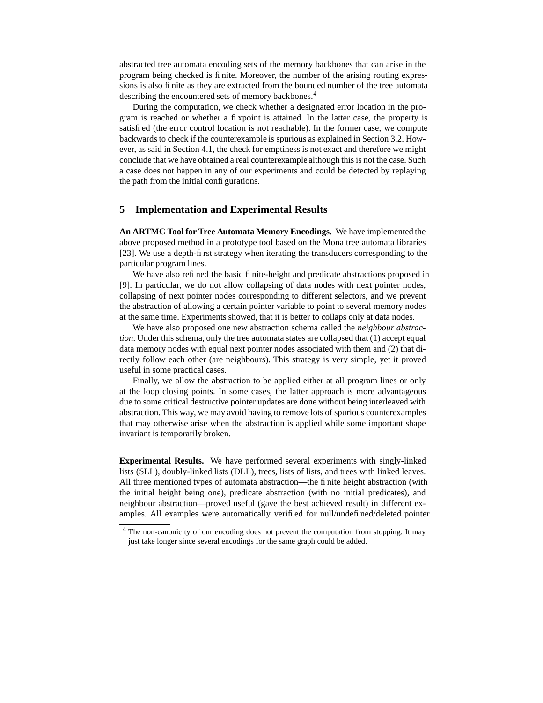abstracted tree automata encoding sets of the memory backbones that can arise in the program being checked is finite. Moreover, the number of the arising routing expressions is also finite as they are extracted from the bounded number of the tree automata describing the encountered sets of memory backbones.<sup>4</sup>

During the computation, we check whether a designated error location in the program is reached or whether a fixpoint is attained. In the latter case, the property is satisfied (the error control location is not reachable). In the former case, we compute backwards to check if the counterexample is spurious as explained in Section 3.2. However, as said in Section 4.1, the check for emptiness is not exact and therefore we might conclude that we have obtained a real counterexample although this is not the case. Such a case does not happen in any of our experiments and could be detected by replaying the path from the initial configurations.

# **5 Implementation and Experimental Results**

**An ARTMC Tool for Tree Automata Memory Encodings.** We have implemented the above proposed method in a prototype tool based on the Mona tree automata libraries [23]. We use a depth-first strategy when iterating the transducers corresponding to the particular program lines.

We have also refined the basic finite-height and predicate abstractions proposed in [9]. In particular, we do not allow collapsing of data nodes with next pointer nodes, collapsing of next pointer nodes corresponding to different selectors, and we prevent the abstraction of allowing a certain pointer variable to point to several memory nodes at the same time. Experiments showed, that it is better to collaps only at data nodes.

We have also proposed one new abstraction schema called the *neighbour abstraction*. Under this schema, only the tree automata states are collapsed that (1) accept equal data memory nodes with equal next pointer nodes associated with them and (2) that directly follow each other (are neighbours). This strategy is very simple, yet it proved useful in some practical cases.

Finally, we allow the abstraction to be applied either at all program lines or only at the loop closing points. In some cases, the latter approach is more advantageous due to some critical destructive pointer updates are done without being interleaved with abstraction. This way, we may avoid having to remove lots of spurious counterexamples that may otherwise arise when the abstraction is applied while some important shape invariant is temporarily broken.

**Experimental Results.** We have performed several experiments with singly-linked lists (SLL), doubly-linked lists (DLL), trees, lists of lists, and trees with linked leaves. All three mentioned types of automata abstraction—the finite height abstraction (with the initial height being one), predicate abstraction (with no initial predicates), and neighbour abstraction—proved useful (gave the best achieved result) in different examples. All examples were automatically verified for null/undefined/deleted pointer

<sup>4</sup> The non-canonicity of our encoding does not prevent the computation from stopping. It may just take longer since several encodings for the same graph could be added.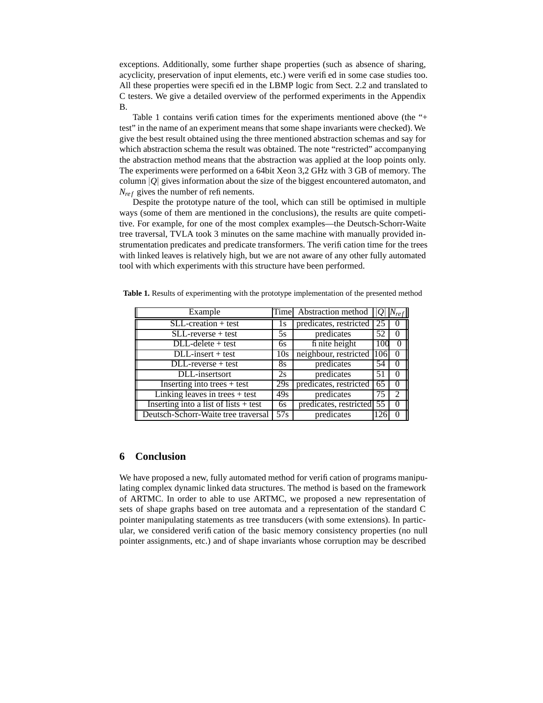exceptions. Additionally, some further shape properties (such as absence of sharing, acyclicity, preservation of input elements, etc.) were verified in some case studies too. All these properties were specified in the LBMP logic from Sect. 2.2 and translated to C testers. We give a detailed overview of the performed experiments in the Appendix B.

Table 1 contains verification times for the experiments mentioned above (the "+ test" in the name of an experiment means that some shape invariants were checked). We give the best result obtained using the three mentioned abstraction schemas and say for which abstraction schema the result was obtained. The note "restricted" accompanying the abstraction method means that the abstraction was applied at the loop points only. The experiments were performed on a 64bit Xeon 3,2 GHz with 3 GB of memory. The column |*Q*| gives information about the size of the biggest encountered automaton, and  $N_{ref}$  gives the number of refinements.

Despite the prototype nature of the tool, which can still be optimised in multiple ways (some of them are mentioned in the conclusions), the results are quite competitive. For example, for one of the most complex examples—the Deutsch-Schorr-Waite tree traversal, TVLA took 3 minutes on the same machine with manually provided instrumentation predicates and predicate transformers. The verification time for the trees with linked leaves is relatively high, but we are not aware of any other fully automated tool with which experiments with this structure have been performed.

| Example                                 | Timel | Abstraction method        |     |   |
|-----------------------------------------|-------|---------------------------|-----|---|
| $SLL$ -creation + test                  | 1s    | predicates, restricted    | 25  |   |
| $SLL$ -reverse + test                   | 5s    | predicates                | 52  |   |
| $DLL$ -delete + test                    | 6s    | fi nite height            | 100 |   |
| $\overline{\text{DLL}}$ -insert + test  | 10s   | neighbour, restricted 106 |     | O |
| $DLL$ -reverse + test                   | 8s    | predicates                | 54  |   |
| DLL-insertsort                          | 2s    | predicates                | 51  |   |
| Inserting into trees $+$ test           | 29s   | predicates, restricted    | 65  |   |
| Linking leaves in trees $+$ test        | 49s   | predicates                | 75  |   |
| Inserting into a list of lists $+$ test | 6s    | predicates, restricted    | 55  |   |
| Deutsch-Schorr-Waite tree traversal     | 57s   | predicates                | 126 |   |

**Table 1.** Results of experimenting with the prototype implementation of the presented method

# **6 Conclusion**

We have proposed a new, fully automated method for verification of programs manipulating complex dynamic linked data structures. The method is based on the framework of ARTMC. In order to able to use ARTMC, we proposed a new representation of sets of shape graphs based on tree automata and a representation of the standard C pointer manipulating statements as tree transducers (with some extensions). In particular, we considered verification of the basic memory consistency properties (no null pointer assignments, etc.) and of shape invariants whose corruption may be described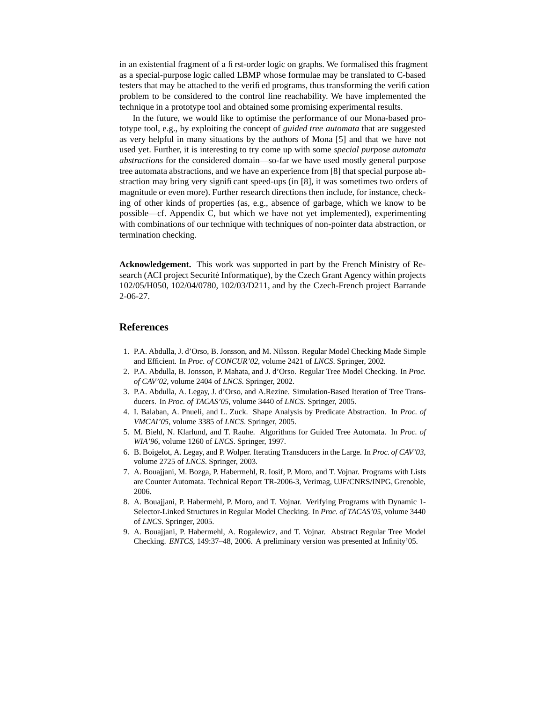in an existential fragment of a first-order logic on graphs. We formalised this fragment as a special-purpose logic called LBMP whose formulae may be translated to C-based testers that may be attached to the verified programs, thus transforming the verification problem to be considered to the control line reachability. We have implemented the technique in a prototype tool and obtained some promising experimental results.

In the future, we would like to optimise the performance of our Mona-based prototype tool, e.g., by exploiting the concept of *guided tree automata* that are suggested as very helpful in many situations by the authors of Mona [5] and that we have not used yet. Further, it is interesting to try come up with some *special purpose automata abstractions* for the considered domain—so-far we have used mostly general purpose tree automata abstractions, and we have an experience from [8] that special purpose abstraction may bring very significant speed-ups (in [8], it was sometimes two orders of magnitude or even more). Further research directions then include, for instance, checking of other kinds of properties (as, e.g., absence of garbage, which we know to be possible—cf. Appendix C, but which we have not yet implemented), experimenting with combinations of our technique with techniques of non-pointer data abstraction, or termination checking.

**Acknowledgement.** This work was supported in part by the French Ministry of Research (ACI project Securité Informatique), by the Czech Grant Agency within projects 102/05/H050, 102/04/0780, 102/03/D211, and by the Czech-French project Barrande 2-06-27.

# **References**

- 1. P.A. Abdulla, J. d'Orso, B. Jonsson, and M. Nilsson. Regular Model Checking Made Simple and Efficient. In *Proc. of CONCUR'02*, volume 2421 of *LNCS*. Springer, 2002.
- 2. P.A. Abdulla, B. Jonsson, P. Mahata, and J. d'Orso. Regular Tree Model Checking. In *Proc. of CAV'02*, volume 2404 of *LNCS*. Springer, 2002.
- 3. P.A. Abdulla, A. Legay, J. d'Orso, and A.Rezine. Simulation-Based Iteration of Tree Transducers. In *Proc. of TACAS'05*, volume 3440 of *LNCS*. Springer, 2005.
- 4. I. Balaban, A. Pnueli, and L. Zuck. Shape Analysis by Predicate Abstraction. In *Proc. of VMCAI'05*, volume 3385 of *LNCS*. Springer, 2005.
- 5. M. Biehl, N. Klarlund, and T. Rauhe. Algorithms for Guided Tree Automata. In *Proc. of WIA'96*, volume 1260 of *LNCS*. Springer, 1997.
- 6. B. Boigelot, A. Legay, and P. Wolper. Iterating Transducers in the Large. In *Proc. of CAV'03*, volume 2725 of *LNCS*. Springer, 2003.
- 7. A. Bouajjani, M. Bozga, P. Habermehl, R. Iosif, P. Moro, and T. Vojnar. Programs with Lists are Counter Automata. Technical Report TR-2006-3, Verimag, UJF/CNRS/INPG, Grenoble, 2006.
- 8. A. Bouajjani, P. Habermehl, P. Moro, and T. Vojnar. Verifying Programs with Dynamic 1- Selector-Linked Structures in Regular Model Checking. In *Proc. of TACAS'05*, volume 3440 of *LNCS*. Springer, 2005.
- 9. A. Bouajjani, P. Habermehl, A. Rogalewicz, and T. Vojnar. Abstract Regular Tree Model Checking. *ENTCS*, 149:37–48, 2006. A preliminary version was presented at Infinity'05.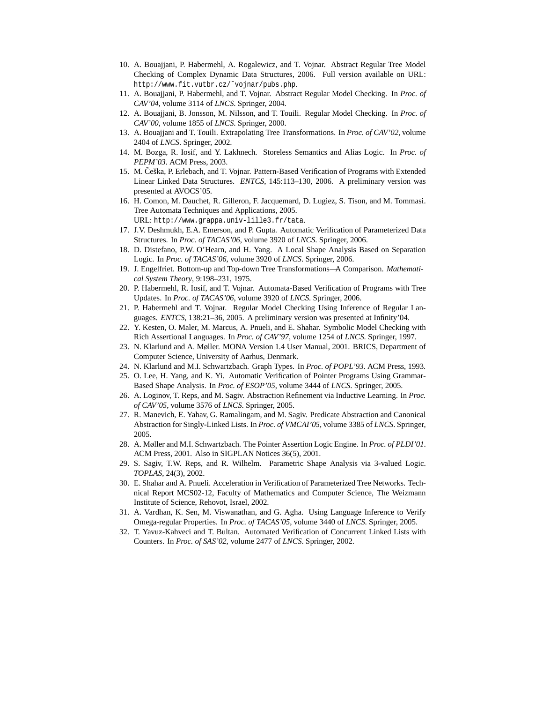- 10. A. Bouajjani, P. Habermehl, A. Rogalewicz, and T. Vojnar. Abstract Regular Tree Model Checking of Complex Dynamic Data Structures, 2006. Full version available on URL: http://www.fit.vutbr.cz/˜vojnar/pubs.php.
- 11. A. Bouajjani, P. Habermehl, and T. Vojnar. Abstract Regular Model Checking. In *Proc. of CAV'04*, volume 3114 of *LNCS*. Springer, 2004.
- 12. A. Bouajjani, B. Jonsson, M. Nilsson, and T. Touili. Regular Model Checking. In *Proc. of CAV'00*, volume 1855 of *LNCS*. Springer, 2000.
- 13. A. Bouajjani and T. Touili. Extrapolating Tree Transformations. In *Proc. of CAV'02*, volume 2404 of *LNCS*. Springer, 2002.
- 14. M. Bozga, R. Iosif, and Y. Lakhnech. Storeless Semantics and Alias Logic. In *Proc. of PEPM'03*. ACM Press, 2003.
- 15. M. Ceška, P. Erlebach, and T. Vojnar. Pattern-Based Verification of Programs with Extended Linear Linked Data Structures. *ENTCS*, 145:113–130, 2006. A preliminary version was presented at AVOCS'05.
- 16. H. Comon, M. Dauchet, R. Gilleron, F. Jacquemard, D. Lugiez, S. Tison, and M. Tommasi. Tree Automata Techniques and Applications, 2005.

URL: http://www.grappa.univ-lille3.fr/tata.

- 17. J.V. Deshmukh, E.A. Emerson, and P. Gupta. Automatic Verification of Parameterized Data Structures. In *Proc. of TACAS'06*, volume 3920 of *LNCS*. Springer, 2006.
- 18. D. Distefano, P.W. O'Hearn, and H. Yang. A Local Shape Analysis Based on Separation Logic. In *Proc. of TACAS'06*, volume 3920 of *LNCS*. Springer, 2006.
- 19. J. Engelfriet. Bottom-up and Top-down Tree Transformations—A Comparison. *Mathematical System Theory*, 9:198–231, 1975.
- 20. P. Habermehl, R. Iosif, and T. Vojnar. Automata-Based Verification of Programs with Tree Updates. In *Proc. of TACAS'06*, volume 3920 of *LNCS*. Springer, 2006.
- 21. P. Habermehl and T. Vojnar. Regular Model Checking Using Inference of Regular Languages. *ENTCS*, 138:21–36, 2005. A preliminary version was presented at Infinity'04.
- 22. Y. Kesten, O. Maler, M. Marcus, A. Pnueli, and E. Shahar. Symbolic Model Checking with Rich Assertional Languages. In *Proc. of CAV'97*, volume 1254 of *LNCS*. Springer, 1997.
- 23. N. Klarlund and A. Møller. MONA Version 1.4 User Manual, 2001. BRICS, Department of Computer Science, University of Aarhus, Denmark.
- 24. N. Klarlund and M.I. Schwartzbach. Graph Types. In *Proc. of POPL'93*. ACM Press, 1993.
- 25. O. Lee, H. Yang, and K. Yi. Automatic Verification of Pointer Programs Using Grammar-Based Shape Analysis. In *Proc. of ESOP'05*, volume 3444 of *LNCS*. Springer, 2005.
- 26. A. Loginov, T. Reps, and M. Sagiv. Abstraction Refinement via Inductive Learning. In *Proc. of CAV'05*, volume 3576 of *LNCS*. Springer, 2005.
- 27. R. Manevich, E. Yahav, G. Ramalingam, and M. Sagiv. Predicate Abstraction and Canonical Abstraction for Singly-Linked Lists. In *Proc. of VMCAI'05*, volume 3385 of *LNCS*. Springer, 2005.
- 28. A. Møller and M.I. Schwartzbach. The Pointer Assertion Logic Engine. In *Proc. of PLDI'01*. ACM Press, 2001. Also in SIGPLAN Notices 36(5), 2001.
- 29. S. Sagiv, T.W. Reps, and R. Wilhelm. Parametric Shape Analysis via 3-valued Logic. *TOPLAS*, 24(3), 2002.
- 30. E. Shahar and A. Pnueli. Acceleration in Verification of Parameterized Tree Networks. Technical Report MCS02-12, Faculty of Mathematics and Computer Science, The Weizmann Institute of Science, Rehovot, Israel, 2002.
- 31. A. Vardhan, K. Sen, M. Viswanathan, and G. Agha. Using Language Inference to Verify Omega-regular Properties. In *Proc. of TACAS'05*, volume 3440 of *LNCS*. Springer, 2005.
- 32. T. Yavuz-Kahveci and T. Bultan. Automated Verification of Concurrent Linked Lists with Counters. In *Proc. of SAS'02*, volume 2477 of *LNCS*. Springer, 2002.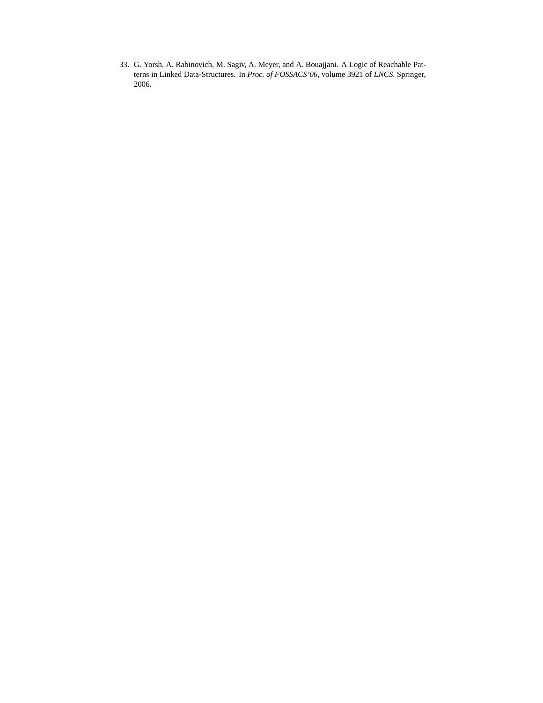33. G. Yorsh, A. Rabinovich, M. Sagiv, A. Meyer, and A. Bouajjani. A Logic of Reachable Patterns in Linked Data-Structures. In *Proc. of FOSSACS'06*, volume 3921 of *LNCS*. Springer, 2006.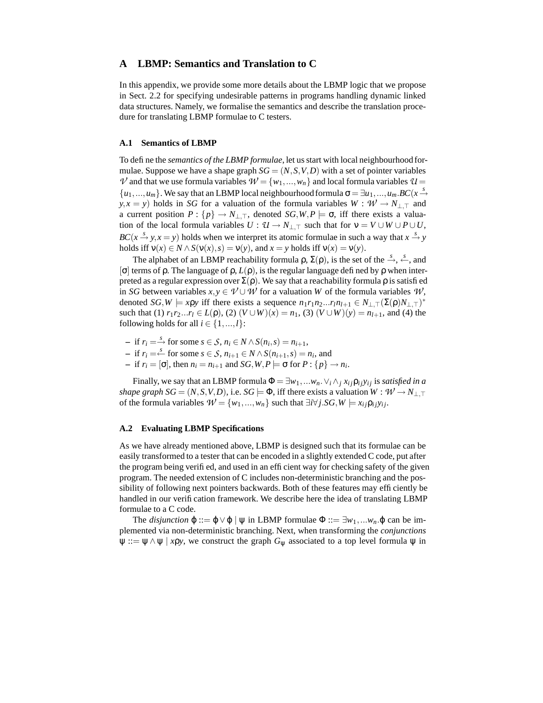# **A LBMP: Semantics and Translation to C**

In this appendix, we provide some more details about the LBMP logic that we propose in Sect. 2.2 for specifying undesirable patterns in programs handling dynamic linked data structures. Namely, we formalise the semantics and describe the translation procedure for translating LBMP formulae to C testers.

#### **A.1 Semantics of LBMP**

To define the *semantics of the LBMP formulae*, let us start with local neighbourhood formulae. Suppose we have a shape graph  $SG = (N, S, V, D)$  with a set of pointer variables  $V$  and that we use formula variables  $W = \{w_1, ..., w_n\}$  and local formula variables  $U =$  $\{u_1, ..., u_m\}$ . We say that an LBMP local neighbourhood formula  $\sigma = \exists u_1, ..., u_m$ . *BC*( $x \stackrel{s}{\rightarrow}$ *y*,*x* = *y*) holds in *SG* for a valuation of the formula variables  $W : W \to N_{\perp,\perp}$  and a current position  $P: \{p\} \to N_{\perp,\perp}$ , denoted  $SG, W, P \models \sigma$ , iff there exists a valuation of the local formula variables  $U: U \to N_{\perp}$  such that for  $v = V \cup W \cup P \cup U$ , *BC*( $x \xrightarrow{s} y, x = y$ ) holds when we interpret its atomic formulae in such a way that  $x \xrightarrow{s} y$ holds iff  $v(x) \in N \wedge S(v(x), s) = v(y)$ , and  $x = y$  holds iff  $v(x) = v(y)$ .

The alphabet of an LBMP reachability formula  $\rho$ ,  $\Sigma(\rho)$ , is the set of the  $\stackrel{s}{\rightarrow}$ ,  $\stackrel{s}{\leftarrow}$ , and [σ] terms of ρ. The language of ρ, *L*(ρ), is the regular language defined by ρ when interpreted as a regular expression over  $\Sigma(\rho)$ . We say that a reachability formula  $\rho$  is satisfied in *SG* between variables  $x, y \in \mathcal{V} \cup \mathcal{W}$  for a valuation *W* of the formula variables *W*, denoted  $SG, W \models x \rho y$  iff there exists a sequence  $n_1 r_1 n_2 ... r_l n_{l+1} \in N_{\perp, \top}(\Sigma(\rho) N_{\perp, \top})^*$ such that (1)  $r_1r_2...r_l \in L(\rho)$ , (2)  $(V \cup W)(x) = n_1$ , (3)  $(V \cup W)(y) = n_{l+1}$ , and (4) the following holds for all  $i \in \{1, ..., l\}$ :

- $-$  if  $r_i$  =  $\stackrel{s}{\longrightarrow}$  for some *s* ∈ *S*,  $n_i$  ∈ *N* ∧ *S*( $n_i$ , *s*) =  $n_{i+1}$ ,
- **−** if  $r_i = \stackrel{s}{\leftarrow}$  for some  $s \in S$ ,  $n_{i+1} \in N \wedge S(n_{i+1}, s) = n_i$ , and
- $\mathcal{L}$  if  $r_i = [\sigma]$ , then  $n_i = n_{i+1}$  and  $SG, W, P \models \sigma$  for  $P : \{p\} \rightarrow n_i$ .

Finally, we say that an LBMP formula  $\Phi = \exists w_1, ..., w_n$ .  $\vee_i \wedge_j x_{ij} \rho_{ij} y_{ij}$  is *satisfied in a shape graph*  $SG = (N, S, V, D)$ , i.e.  $SG \models \Phi$ , iff there exists a valuation  $W : W \rightarrow N_{\perp, \perp}$ of the formula variables  $W = \{w_1, ..., w_n\}$  such that  $\exists i \forall j$ . SG,  $W \models x_{ij} \rho_{ij} y_{ij}$ .

#### **A.2 Evaluating LBMP Specifications**

As we have already mentioned above, LBMP is designed such that its formulae can be easily transformed to a tester that can be encoded in a slightly extended C code, put after the program being verified, and used in an efficient way for checking safety of the given program. The needed extension of C includes non-deterministic branching and the possibility of following next pointers backwards. Both of these features may efficiently be handled in our verification framework. We describe here the idea of translating LBMP formulae to a C code.

The *disjunction*  $\varphi ::= \varphi \vee \varphi \mid \psi$  in LBMP formulae  $\Phi ::= \exists w_1, \dots w_n$  o can be implemented via non-deterministic branching. Next, when transforming the *conjunctions*  $\psi ::= \psi \wedge \psi \mid x \rho y$ , we construct the graph  $G_{\psi}$  associated to a top level formula  $\psi$  in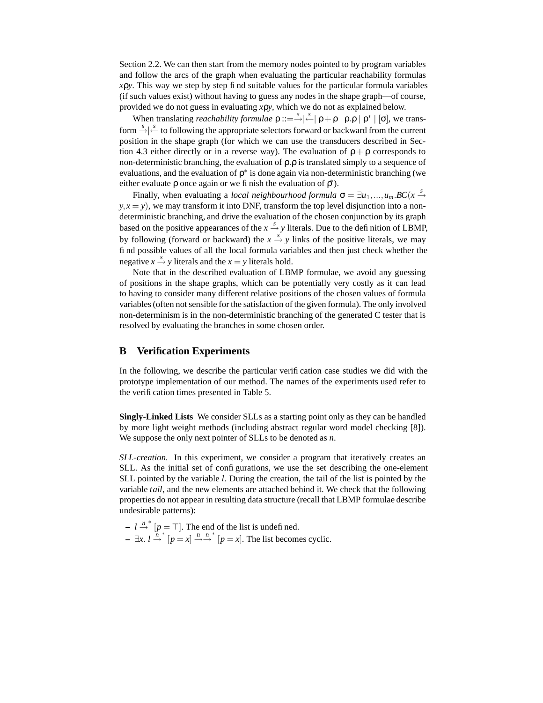Section 2.2. We can then start from the memory nodes pointed to by program variables and follow the arcs of the graph when evaluating the particular reachability formulas *x*ρ*y*. This way we step by step find suitable values for the particular formula variables (if such values exist) without having to guess any nodes in the shape graph—of course, provided we do not guess in evaluating *x*ρ*y*, which we do not as explained below.

When translating *reachability formulae*  $\rho ::= \stackrel{s}{\rightarrow} |\stackrel{s}{\leftarrow}|\rho + \rho| |\rho \cdot \rho| |\rho^*| |\sigma|$ , we transform  $\stackrel{s}{\rightarrow}$   $\stackrel{s}{\leftarrow}$  to following the appropriate selectors forward or backward from the current position in the shape graph (for which we can use the transducers described in Section 4.3 either directly or in a reverse way). The evaluation of  $\rho + \rho$  corresponds to non-deterministic branching, the evaluation of ρ.ρ is translated simply to a sequence of evaluations, and the evaluation of  $\rho^*$  is done again via non-deterministic branching (we either evaluate  $\rho$  once again or we finish the evaluation of  $\rho^*$ ).

Finally, when evaluating a *local neighbourhood formula*  $\sigma = \exists u_1, ..., u_m$ .*BC*(*x*  $\stackrel{s}{\rightarrow}$  $y, x = y$ , we may transform it into DNF, transform the top level disjunction into a nondeterministic branching, and drive the evaluation of the chosen conjunction by its graph based on the positive appearances of the  $x \stackrel{s}{\rightarrow} y$  literals. Due to the definition of LBMP, by following (forward or backward) the  $x \stackrel{s}{\rightarrow} y$  links of the positive literals, we may find possible values of all the local formula variables and then just check whether the negative  $x \stackrel{s}{\rightarrow} y$  literals and the  $x = y$  literals hold.

Note that in the described evaluation of LBMP formulae, we avoid any guessing of positions in the shape graphs, which can be potentially very costly as it can lead to having to consider many different relative positions of the chosen values of formula variables(often notsensible for the satisfaction of the given formula). The only involved non-determinism is in the non-deterministic branching of the generated C tester that is resolved by evaluating the branches in some chosen order.

## **B Verification Experiments**

In the following, we describe the particular verification case studies we did with the prototype implementation of our method. The names of the experiments used refer to the verification times presented in Table 5.

**Singly-Linked Lists** We consider SLLs as a starting point only as they can be handled by more light weight methods (including abstract regular word model checking [8]). We suppose the only next pointer of SLLs to be denoted as *n*.

*SLL-creation.* In this experiment, we consider a program that iteratively creates an SLL. As the initial set of configurations, we use the set describing the one-element SLL pointed by the variable *l*. During the creation, the tail of the list is pointed by the variable *tail*, and the new elements are attached behind it. We check that the following properties do not appear in resulting data structure (recall that LBMP formulae describe undesirable patterns):

- $l \stackrel{n}{\rightarrow} [p = \top]$ . The end of the list is undefined.
- $\exists x. l \stackrel{n}{\rightarrow}^* [p = x] \stackrel{n}{\rightarrow}^* [p = x]$ . The list becomes cyclic.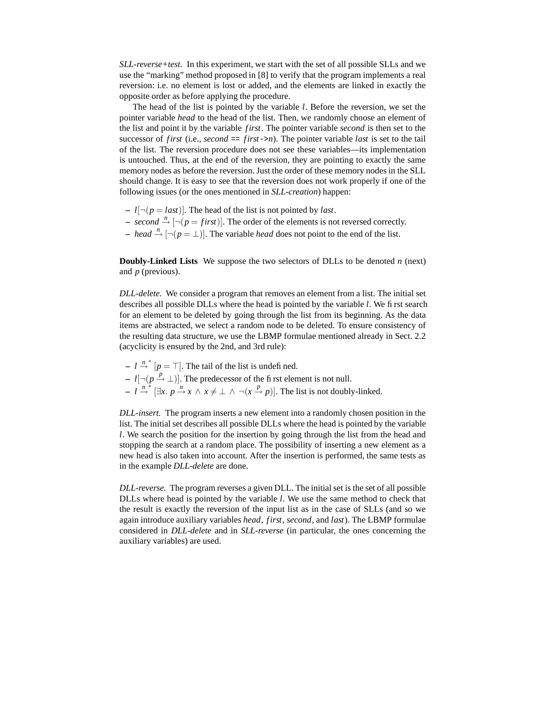*SLL-reverse+test.* In this experiment, we start with the set of all possible SLLs and we use the "marking" method proposed in [8] to verify that the program implements a real reversion: i.e. no element is lost or added, and the elements are linked in exactly the opposite order as before applying the procedure.

The head of the list is pointed by the variable *l*. Before the reversion, we set the pointer variable *head* to the head of the list. Then, we randomly choose an element of the list and point it by the variable *first*. The pointer variable *second* is then set to the successor of *first* (i.e., *second* == *first*->*n*). The pointer variable *last* is set to the tail of the list. The reversion procedure does not see these variables—its implementation is untouched. Thus, at the end of the reversion, they are pointing to exactly the same memory nodes as before the reversion. Just the order of these memory nodes in the SLL should change. It is easy to see that the reversion does not work properly if one of the following issues (or the ones mentioned in *SLL-creation*) happen:

- $l [ \neg (p = last) ]$ . The head of the list is not pointed by *last*.
- $−$  *second*  $\stackrel{n}{\rightarrow}$   $\lceil \neg (p = first) \rceil$ . The order of the elements is not reversed correctly.
- $−$  *head*  $\stackrel{n}{\rightarrow} \lceil \neg (p = \bot) \rceil$ . The variable *head* does not point to the end of the list.

**Doubly-Linked Lists** We suppose the two selectors of DLLs to be denoted *n* (next) and *p* (previous).

*DLL-delete.* We consider a program that removes an element from a list. The initial set describes all possible DLLs where the head is pointed by the variable *l*. We first search for an element to be deleted by going through the list from its beginning. As the data items are abstracted, we select a random node to be deleted. To ensure consistency of the resulting data structure, we use the LBMP formulae mentioned already in Sect. 2.2 (acyclicity is ensured by the 2nd, and 3rd rule):

 $- l \stackrel{n}{\rightarrow} [p = \top]$ . The tail of the list is undefined.  $\frac{1}{p}$  *l*  $\left[\neg(p \stackrel{p}{\rightarrow} \bot)\right]$ . The predecessor of the first element is not null.  $- l \stackrel{n}{\rightarrow}^* [\exists x. p \stackrel{n}{\rightarrow} x \land x \neq \bot \land \neg(x \stackrel{p}{\rightarrow} p)]$ . The list is not doubly-linked.

*DLL-insert.* The program inserts a new element into a randomly chosen position in the list. The initial set describes all possible DLLs where the head is pointed by the variable *l*. We search the position for the insertion by going through the list from the head and stopping the search at a random place. The possibility of inserting a new element as a new head is also taken into account. After the insertion is performed, the same tests as in the example *DLL-delete* are done.

*DLL-reverse.* The program reverses a given DLL. The initial set is the set of all possible DLLs where head is pointed by the variable *l*. We use the same method to check that the result is exactly the reversion of the input list as in the case of SLLs (and so we again introduce auxiliary variables *head*, *first*, *second*, and *last*). The LBMP formulae considered in *DLL-delete* and in *SLL-reverse* (in particular, the ones concerning the auxiliary variables) are used.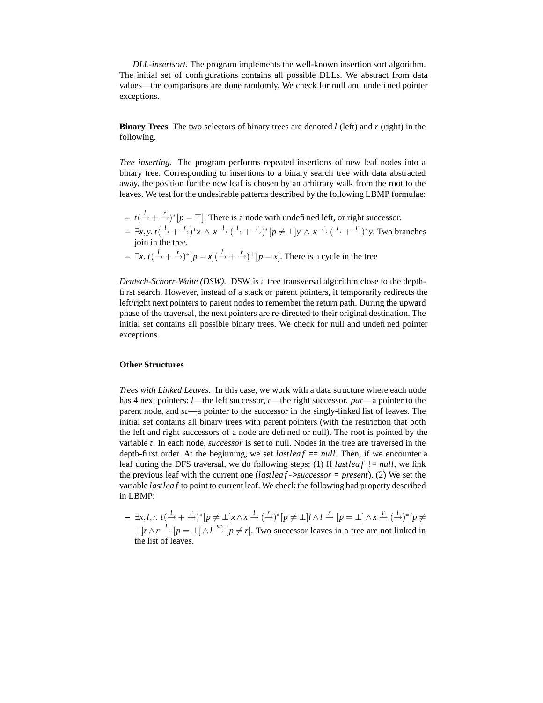*DLL-insertsort.* The program implements the well-known insertion sort algorithm. The initial set of configurations contains all possible DLLs. We abstract from data values—the comparisons are done randomly. We check for null and undefined pointer exceptions.

**Binary Trees** The two selectors of binary trees are denoted *l* (left) and *r* (right) in the following.

*Tree inserting.* The program performs repeated insertions of new leaf nodes into a binary tree. Corresponding to insertions to a binary search tree with data abstracted away, the position for the new leaf is chosen by an arbitrary walk from the root to the leaves. We test for the undesirable patterns described by the following LBMP formulae:

- $t \left( \frac{l}{r} + \frac{r}{r} \right)$ <sup>\*</sup> [ $p = \top$ ]. There is a node with undefined left, or right successor.
- $-$  ∃*x*, *y*.  $t$ ( $\stackrel{l}{\rightarrow} + \stackrel{r}{\rightarrow}$ )<sup>\*</sup>*x* ∧ *x*  $\stackrel{l}{\rightarrow}$ ( $\stackrel{l}{\rightarrow} + \stackrel{r}{\rightarrow}$ )<sup>\*</sup>[ $p \neq \perp$ ]*y* ∧ *x*  $\stackrel{r}{\rightarrow}$ ( $\stackrel{l}{\rightarrow} + \stackrel{r}{\rightarrow}$ )<sup>\*</sup>*y*. Two branches join in the tree.

$$
- \exists x. t(\stackrel{1}{\rightarrow} + \stackrel{r}{\rightarrow})^* [p = x] (\stackrel{1}{\rightarrow} + \stackrel{r}{\rightarrow})^+ [p = x].
$$
 There is a cycle in the tree

*Deutsch-Schorr-Waite (DSW).* DSW is a tree transversal algorithm close to the depthfirst search. However, instead of a stack or parent pointers, it temporarily redirects the left/right next pointers to parent nodes to remember the return path. During the upward phase of the traversal, the next pointers are re-directed to their original destination. The initial set contains all possible binary trees. We check for null and undefined pointer exceptions.

## **Other Structures**

*Trees with Linked Leaves.* In this case, we work with a data structure where each node has 4 next pointers: *l*—the left successor, *r*—the right successor, *par*—a pointer to the parent node, and *sc*—a pointer to the successor in the singly-linked list of leaves. The initial set contains all binary trees with parent pointers (with the restriction that both the left and right successors of a node are defined or null). The root is pointed by the variable *t*. In each node, *successor* is set to null. Nodes in the tree are traversed in the depth-first order. At the beginning, we set *lastleaf*  $=$   $null$ . Then, if we encounter a leaf during the DFS traversal, we do following steps: (1) If *lastleaf*  $!= null$ , we link the previous leaf with the current one (*lastlea f* ->*successor* = *present*). (2) We set the variable *lastleaf* to point to current leaf. We check the following bad property described in LBMP:

 $- \exists x, l, r.$   $t(\stackrel{l}{\rightarrow} + \stackrel{r}{\rightarrow})^* [p \neq \bot] x \wedge x \stackrel{l}{\rightarrow} (\stackrel{r}{\rightarrow})^* [p \neq \bot] l \wedge l \stackrel{r}{\rightarrow} [p = \bot] \wedge x \stackrel{r}{\rightarrow} (\stackrel{l}{\rightarrow})^* [p \neq$ ⊥ $|r \wedge r \stackrel{l}{\rightarrow} [p = \bot] \wedge l \stackrel{sc}{\rightarrow} [p \neq r]$ . Two successor leaves in a tree are not linked in the list of leaves.